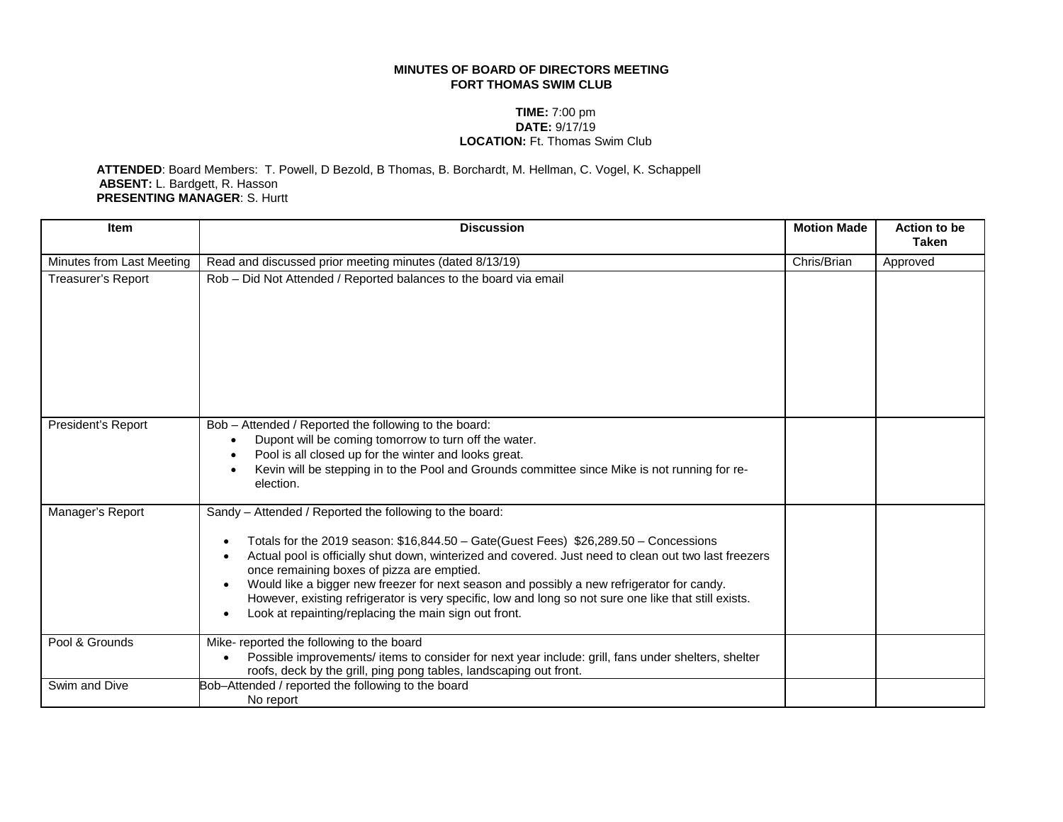## **MINUTES OF BOARD OF DIRECTORS MEETING FORT THOMAS SWIM CLUB**

## **TIME:** 7:00 pm **DATE:** 9/17/19 **LOCATION:** Ft. Thomas Swim Club

 **ATTENDED**: Board Members: T. Powell, D Bezold, B Thomas, B. Borchardt, M. Hellman, C. Vogel, K. Schappell **ABSENT:** L. Bardgett, R. Hasson **PRESENTING MANAGER**: S. Hurtt

| <b>Item</b>               | <b>Discussion</b>                                                                                                                                                                                                                                                                                                                                                                                                                                                                                                                                                      | <b>Motion Made</b> | <b>Action to be</b><br><b>Taken</b> |
|---------------------------|------------------------------------------------------------------------------------------------------------------------------------------------------------------------------------------------------------------------------------------------------------------------------------------------------------------------------------------------------------------------------------------------------------------------------------------------------------------------------------------------------------------------------------------------------------------------|--------------------|-------------------------------------|
| Minutes from Last Meeting | Read and discussed prior meeting minutes (dated 8/13/19)                                                                                                                                                                                                                                                                                                                                                                                                                                                                                                               | Chris/Brian        | Approved                            |
| Treasurer's Report        | Rob - Did Not Attended / Reported balances to the board via email                                                                                                                                                                                                                                                                                                                                                                                                                                                                                                      |                    |                                     |
| President's Report        | Bob - Attended / Reported the following to the board:<br>Dupont will be coming tomorrow to turn off the water.<br>$\bullet$<br>Pool is all closed up for the winter and looks great.<br>$\bullet$<br>Kevin will be stepping in to the Pool and Grounds committee since Mike is not running for re-<br>$\bullet$<br>election.                                                                                                                                                                                                                                           |                    |                                     |
| Manager's Report          | Sandy - Attended / Reported the following to the board:<br>Totals for the 2019 season: \$16,844.50 - Gate(Guest Fees) \$26,289.50 - Concessions<br>Actual pool is officially shut down, winterized and covered. Just need to clean out two last freezers<br>once remaining boxes of pizza are emptied.<br>Would like a bigger new freezer for next season and possibly a new refrigerator for candy.<br>However, existing refrigerator is very specific, low and long so not sure one like that still exists.<br>Look at repainting/replacing the main sign out front. |                    |                                     |
| Pool & Grounds            | Mike- reported the following to the board<br>Possible improvements/ items to consider for next year include: grill, fans under shelters, shelter<br>roofs, deck by the grill, ping pong tables, landscaping out front.                                                                                                                                                                                                                                                                                                                                                 |                    |                                     |
| Swim and Dive             | Bob-Attended / reported the following to the board<br>No report                                                                                                                                                                                                                                                                                                                                                                                                                                                                                                        |                    |                                     |